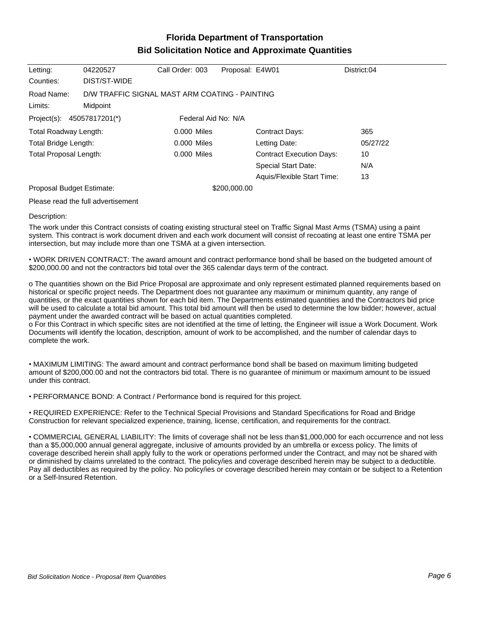## **Florida Department of Transportation Bid Solicitation Notice and Approximate Quantities**

| Letting:                                             | 04220527                                       | Call Order: 003 | Proposal: E4W01 |                                 | District:04 |
|------------------------------------------------------|------------------------------------------------|-----------------|-----------------|---------------------------------|-------------|
| Counties:                                            | DIST/ST-WIDE                                   |                 |                 |                                 |             |
| Road Name:                                           | D/W TRAFFIC SIGNAL MAST ARM COATING - PAINTING |                 |                 |                                 |             |
| Limits:                                              | Midpoint                                       |                 |                 |                                 |             |
| Federal Aid No: N/A<br>Project(s):<br>45057817201(*) |                                                |                 |                 |                                 |             |
| Total Roadway Length:                                |                                                | 0.000 Miles     |                 | <b>Contract Days:</b>           | 365         |
| Total Bridge Length:                                 |                                                | $0.000$ Miles   |                 | Letting Date:                   | 05/27/22    |
| Total Proposal Length:                               |                                                | 0.000 Miles     |                 | <b>Contract Execution Days:</b> | 10          |
|                                                      |                                                |                 |                 | Special Start Date:             | N/A         |
|                                                      |                                                |                 |                 | Aquis/Flexible Start Time:      | 13          |
| Proposal Budget Estimate:                            |                                                |                 | \$200,000.00    |                                 |             |

Please read the full advertisement

## Description:

The work under this Contract consists of coating existing structural steel on Traffic Signal Mast Arms (TSMA) using a paint system. This contract is work document driven and each work document will consist of recoating at least one entire TSMA per intersection, but may include more than one TSMA at a given intersection.

WORK DRIVEN CONTRACT: The award amount and contract performance bond shall be based on the budgeted amount of \$200,000.00 and not the contractors bid total over the 365 calendar days term of the contract.

o The quantities shown on the Bid Price Proposal are approximate and only represent estimated planned requirements based on historical or specific project needs. The Department does not guarantee any maximum or minimum quantity, any range of quantities, or the exact quantities shown for each bid item. The Departments estimated quantities and the Contractors bid price will be used to calculate a total bid amount. This total bid amount will then be used to determine the low bidder; however, actual payment under the awarded contract will be based on actual quantities completed.

o For this Contract in which specific sites are not identified at the time of letting, the Engineer will issue a Work Document. Work Documents will identify the location, description, amount of work to be accomplished, and the number of calendar days to complete the work.

MAXIMUM LIMITING: The award amount and contract performance bond shall be based on maximum limiting budgeted amount of \$200,000.00 and not the contractors bid total. There is no guarantee of minimum or maximum amount to be issued under this contract.

PERFORMANCE BOND: A Contract / Performance bond is required for this project.

REQUIRED EXPERIENCE: Refer to the Technical Special Provisions and Standard Specifications for Road and Bridge Construction for relevant specialized experience, training, license, certification, and requirements for the contract.

COMMERCIAL GENERAL LIABILITY: The limits of coverage shall not be less than \$1,000,000 for each occurrence and not less than a \$5,000,000 annual general aggregate, inclusive of amounts provided by an umbrella or excess policy. The limits of coverage described herein shall apply fully to the work or operations performed under the Contract, and may not be shared with or diminished by claims unrelated to the contract. The policy/ies and coverage described herein may be subject to a deductible. Pay all deductibles as required by the policy. No policy/ies or coverage described herein may contain or be subject to a Retention or a Self-Insured Retention.